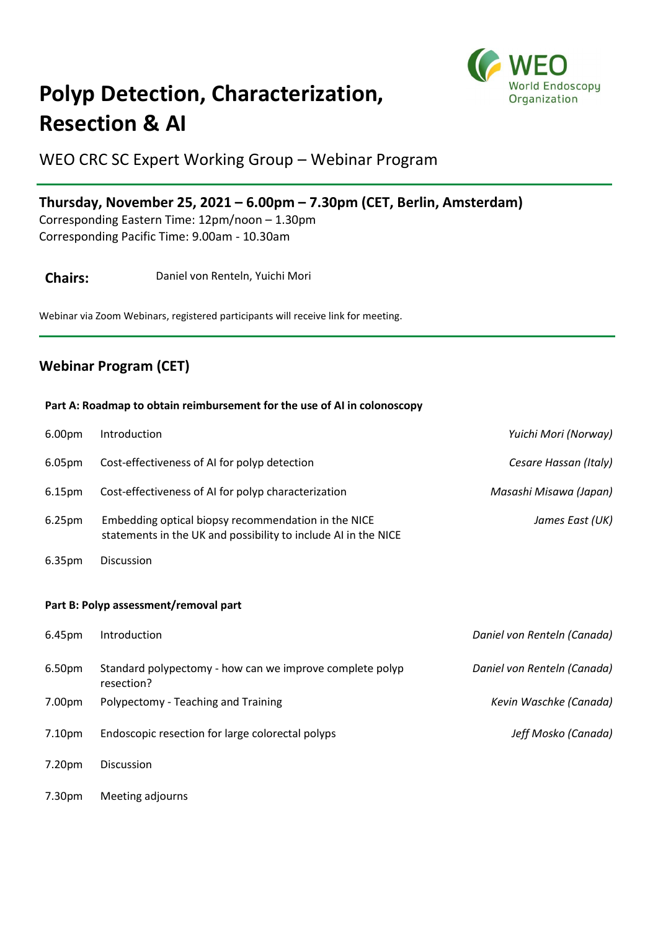

## **Polyp Detection, Characterization, Resection & AI**

WEO CRC SC Expert Working Group – Webinar Program

## **Thursday, November 25, 2021 – 6.00pm – 7.30pm (CET, Berlin, Amsterdam)**

Corresponding Eastern Time: 12pm/noon – 1.30pm Corresponding Pacific Time: 9.00am - 10.30am

**Chairs:** Daniel von Renteln, Yuichi Mori

Webinar via Zoom Webinars, registered participants will receive link for meeting.

## **Webinar Program (CET)**

## **Part A: Roadmap to obtain reimbursement for the use of AI in colonoscopy**

| 6.00pm                                | Introduction                                                                                                          | Yuichi Mori (Norway)        |
|---------------------------------------|-----------------------------------------------------------------------------------------------------------------------|-----------------------------|
| 6.05pm                                | Cost-effectiveness of AI for polyp detection                                                                          | Cesare Hassan (Italy)       |
| 6.15pm                                | Cost-effectiveness of AI for polyp characterization                                                                   | Masashi Misawa (Japan)      |
| 6.25pm                                | Embedding optical biopsy recommendation in the NICE<br>statements in the UK and possibility to include AI in the NICE | James East (UK)             |
| 6.35pm                                | Discussion                                                                                                            |                             |
|                                       |                                                                                                                       |                             |
| Part B: Polyp assessment/removal part |                                                                                                                       |                             |
| 6.45pm                                | Introduction                                                                                                          | Daniel von Renteln (Canada) |
| 6.50pm                                | Standard polypectomy - how can we improve complete polyp<br>resection?                                                | Daniel von Renteln (Canada) |
| 7.00pm                                | Polypectomy - Teaching and Training                                                                                   | Kevin Waschke (Canada)      |
|                                       |                                                                                                                       |                             |
| 7.10pm                                | Endoscopic resection for large colorectal polyps                                                                      | Jeff Mosko (Canada)         |
| 7.20pm                                | Discussion                                                                                                            |                             |